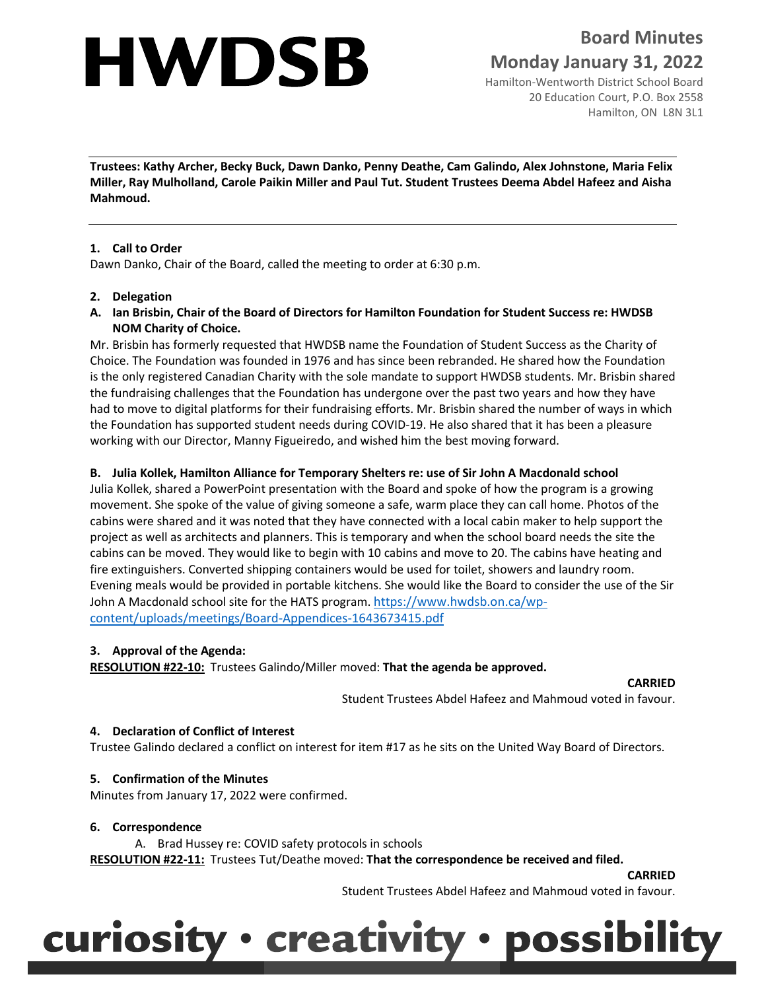# **HWDSB**

**Board Minutes Monday January 31, 2022**

Hamilton-Wentworth District School Board 20 Education Court, P.O. Box 2558 Hamilton, ON L8N 3L1

**Trustees: Kathy Archer, Becky Buck, Dawn Danko, Penny Deathe, Cam Galindo, Alex Johnstone, Maria Felix Miller, Ray Mulholland, Carole Paikin Miller and Paul Tut. Student Trustees Deema Abdel Hafeez and Aisha Mahmoud.**

# **1. Call to Order**

Dawn Danko, Chair of the Board, called the meeting to order at 6:30 p.m.

# **2. Delegation**

**A. Ian Brisbin, Chair of the Board of Directors for Hamilton Foundation for Student Success re: HWDSB NOM Charity of Choice.**

Mr. Brisbin has formerly requested that HWDSB name the Foundation of Student Success as the Charity of Choice. The Foundation was founded in 1976 and has since been rebranded. He shared how the Foundation is the only registered Canadian Charity with the sole mandate to support HWDSB students. Mr. Brisbin shared the fundraising challenges that the Foundation has undergone over the past two years and how they have had to move to digital platforms for their fundraising efforts. Mr. Brisbin shared the number of ways in which the Foundation has supported student needs during COVID-19. He also shared that it has been a pleasure working with our Director, Manny Figueiredo, and wished him the best moving forward.

# **B. Julia Kollek, Hamilton Alliance for Temporary Shelters re: use of Sir John A Macdonald school**

Julia Kollek, shared a PowerPoint presentation with the Board and spoke of how the program is a growing movement. She spoke of the value of giving someone a safe, warm place they can call home. Photos of the cabins were shared and it was noted that they have connected with a local cabin maker to help support the project as well as architects and planners. This is temporary and when the school board needs the site the cabins can be moved. They would like to begin with 10 cabins and move to 20. The cabins have heating and fire extinguishers. Converted shipping containers would be used for toilet, showers and laundry room. Evening meals would be provided in portable kitchens. She would like the Board to consider the use of the Sir John A Macdonald school site for the HATS program. [https://www.hwdsb.on.ca/wp](https://can01.safelinks.protection.outlook.com/?url=https%3A%2F%2Fwww.hwdsb.on.ca%2Fwp-content%2Fuploads%2Fmeetings%2FBoard-Appendices-1643673415.pdf&data=04%7C01%7Ctmckillo%40hwdsb.on.ca%7C78fc59a9051c40059fc308d9e5157b32%7C7afeaf6ab1be4c83a974c43a8b215634%7C0%7C0%7C637792702683689299%7CUnknown%7CTWFpbGZsb3d8eyJWIjoiMC4wLjAwMDAiLCJQIjoiV2luMzIiLCJBTiI6Ik1haWwiLCJXVCI6Mn0%3D%7C3000&sdata=dRYgyZ%2Bf%2FSd1kC3CbYb4TSkS1K3nPq18EfYM9Te4v%2Fg%3D&reserved=0)[content/uploads/meetings/Board-Appendices-1643673415.pdf](https://can01.safelinks.protection.outlook.com/?url=https%3A%2F%2Fwww.hwdsb.on.ca%2Fwp-content%2Fuploads%2Fmeetings%2FBoard-Appendices-1643673415.pdf&data=04%7C01%7Ctmckillo%40hwdsb.on.ca%7C78fc59a9051c40059fc308d9e5157b32%7C7afeaf6ab1be4c83a974c43a8b215634%7C0%7C0%7C637792702683689299%7CUnknown%7CTWFpbGZsb3d8eyJWIjoiMC4wLjAwMDAiLCJQIjoiV2luMzIiLCJBTiI6Ik1haWwiLCJXVCI6Mn0%3D%7C3000&sdata=dRYgyZ%2Bf%2FSd1kC3CbYb4TSkS1K3nPq18EfYM9Te4v%2Fg%3D&reserved=0)

# **3. Approval of the Agenda:**

**RESOLUTION #22-10:** Trustees Galindo/Miller moved: **That the agenda be approved.**

**CARRIED**

Student Trustees Abdel Hafeez and Mahmoud voted in favour.

# **4. Declaration of Conflict of Interest**

Trustee Galindo declared a conflict on interest for item #17 as he sits on the United Way Board of Directors.

# **5. Confirmation of the Minutes**

Minutes from January 17, 2022 were confirmed.

#### **6. Correspondence**

A. Brad Hussey re: COVID safety protocols in schools

**RESOLUTION #22-11:** Trustees Tut/Deathe moved: **That the correspondence be received and filed.**

**CARRIED**

Student Trustees Abdel Hafeez and Mahmoud voted in favour.

# curiosity · creativity · possibility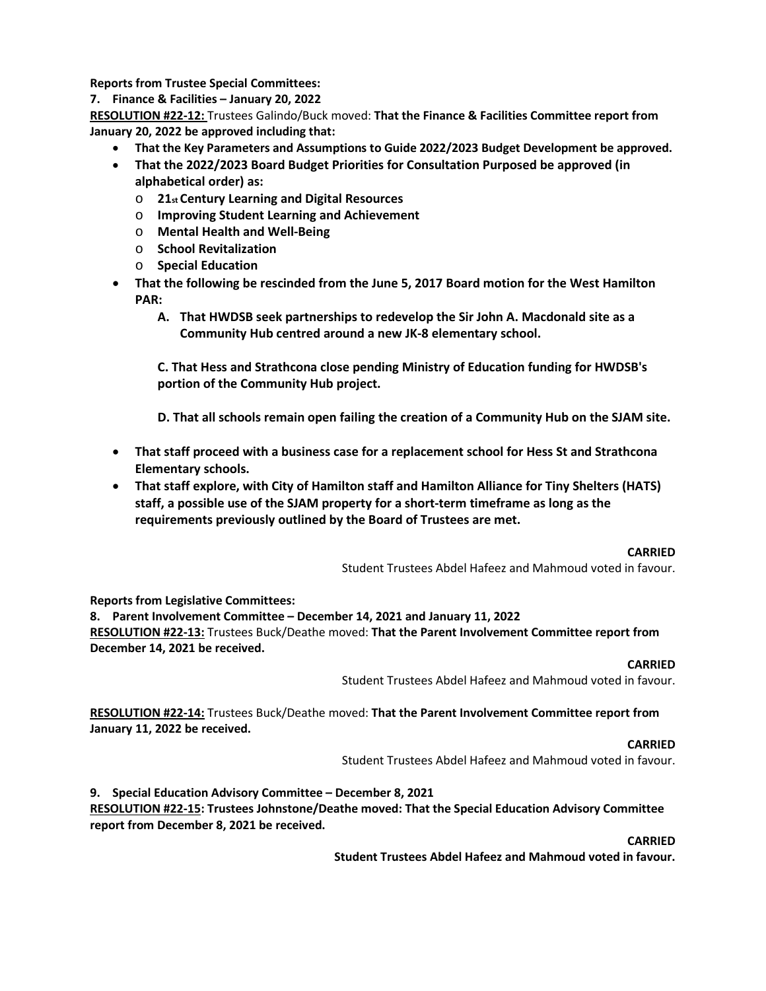**Reports from Trustee Special Committees:**

**7. Finance & Facilities – January 20, 2022**

**RESOLUTION #22-12:** Trustees Galindo/Buck moved: **That the Finance & Facilities Committee report from January 20, 2022 be approved including that:**

- **That the Key Parameters and Assumptions to Guide 2022/2023 Budget Development be approved.**
- **That the 2022/2023 Board Budget Priorities for Consultation Purposed be approved (in alphabetical order) as:**
	- o **21st Century Learning and Digital Resources**
	- o **Improving Student Learning and Achievement**
	- o **Mental Health and Well-Being**
	- o **School Revitalization**
	- o **Special Education**
- **That the following be rescinded from the June 5, 2017 Board motion for the West Hamilton PAR:**
	- **A. That HWDSB seek partnerships to redevelop the Sir John A. Macdonald site as a Community Hub centred around a new JK-8 elementary school.**

**C. That Hess and Strathcona close pending Ministry of Education funding for HWDSB's portion of the Community Hub project.**

**D. That all schools remain open failing the creation of a Community Hub on the SJAM site.**

- **That staff proceed with a business case for a replacement school for Hess St and Strathcona Elementary schools.**
- **That staff explore, with City of Hamilton staff and Hamilton Alliance for Tiny Shelters (HATS) staff, a possible use of the SJAM property for a short-term timeframe as long as the requirements previously outlined by the Board of Trustees are met.**

#### **CARRIED**

Student Trustees Abdel Hafeez and Mahmoud voted in favour.

**Reports from Legislative Committees:**

**8. Parent Involvement Committee – December 14, 2021 and January 11, 2022**

**RESOLUTION #22-13:** Trustees Buck/Deathe moved: **That the Parent Involvement Committee report from December 14, 2021 be received.**

#### **CARRIED**

Student Trustees Abdel Hafeez and Mahmoud voted in favour.

**RESOLUTION #22-14:** Trustees Buck/Deathe moved: **That the Parent Involvement Committee report from January 11, 2022 be received.**

**CARRIED**

Student Trustees Abdel Hafeez and Mahmoud voted in favour.

**9. Special Education Advisory Committee – December 8, 2021**

**RESOLUTION #22-15: Trustees Johnstone/Deathe moved: That the Special Education Advisory Committee report from December 8, 2021 be received.**

**CARRIED**

**Student Trustees Abdel Hafeez and Mahmoud voted in favour.**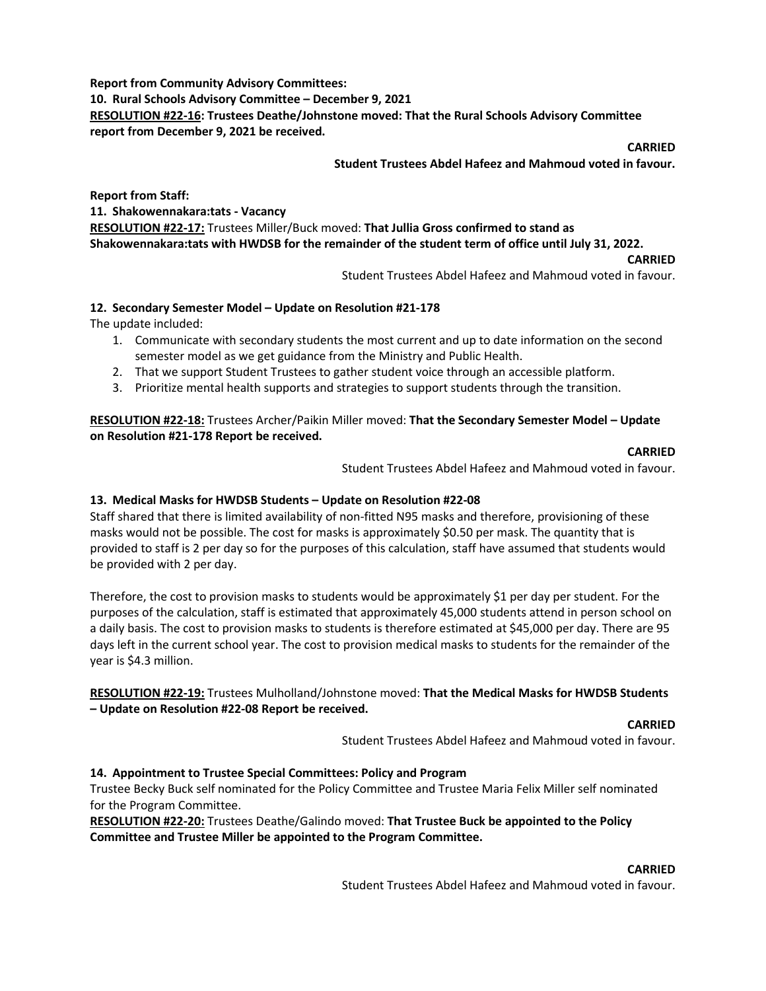**Report from Community Advisory Committees:**

**10. Rural Schools Advisory Committee – December 9, 2021 RESOLUTION #22-16: Trustees Deathe/Johnstone moved: That the Rural Schools Advisory Committee report from December 9, 2021 be received.**

**CARRIED**

**Student Trustees Abdel Hafeez and Mahmoud voted in favour.**

**Report from Staff:**

**11. Shakowennakara:tats - Vacancy**

**RESOLUTION #22-17:** Trustees Miller/Buck moved: **That Jullia Gross confirmed to stand as Shakowennakara:tats with HWDSB for the remainder of the student term of office until July 31, 2022.**

#### **CARRIED**

Student Trustees Abdel Hafeez and Mahmoud voted in favour.

### **12. Secondary Semester Model – Update on Resolution #21-178**

The update included:

- 1. Communicate with secondary students the most current and up to date information on the second semester model as we get guidance from the Ministry and Public Health.
- 2. That we support Student Trustees to gather student voice through an accessible platform.
- 3. Prioritize mental health supports and strategies to support students through the transition.

**RESOLUTION #22-18:** Trustees Archer/Paikin Miller moved: **That the Secondary Semester Model – Update on Resolution #21-178 Report be received.**

#### **CARRIED**

Student Trustees Abdel Hafeez and Mahmoud voted in favour.

# **13. Medical Masks for HWDSB Students – Update on Resolution #22-08**

Staff shared that there is limited availability of non-fitted N95 masks and therefore, provisioning of these masks would not be possible. The cost for masks is approximately \$0.50 per mask. The quantity that is provided to staff is 2 per day so for the purposes of this calculation, staff have assumed that students would be provided with 2 per day.

Therefore, the cost to provision masks to students would be approximately \$1 per day per student. For the purposes of the calculation, staff is estimated that approximately 45,000 students attend in person school on a daily basis. The cost to provision masks to students is therefore estimated at \$45,000 per day. There are 95 days left in the current school year. The cost to provision medical masks to students for the remainder of the year is \$4.3 million.

# **RESOLUTION #22-19:** Trustees Mulholland/Johnstone moved: **That the Medical Masks for HWDSB Students – Update on Resolution #22-08 Report be received.**

**CARRIED**

Student Trustees Abdel Hafeez and Mahmoud voted in favour.

# **14. Appointment to Trustee Special Committees: Policy and Program**

Trustee Becky Buck self nominated for the Policy Committee and Trustee Maria Felix Miller self nominated for the Program Committee.

**RESOLUTION #22-20:** Trustees Deathe/Galindo moved: **That Trustee Buck be appointed to the Policy Committee and Trustee Miller be appointed to the Program Committee.**

#### **CARRIED**

Student Trustees Abdel Hafeez and Mahmoud voted in favour.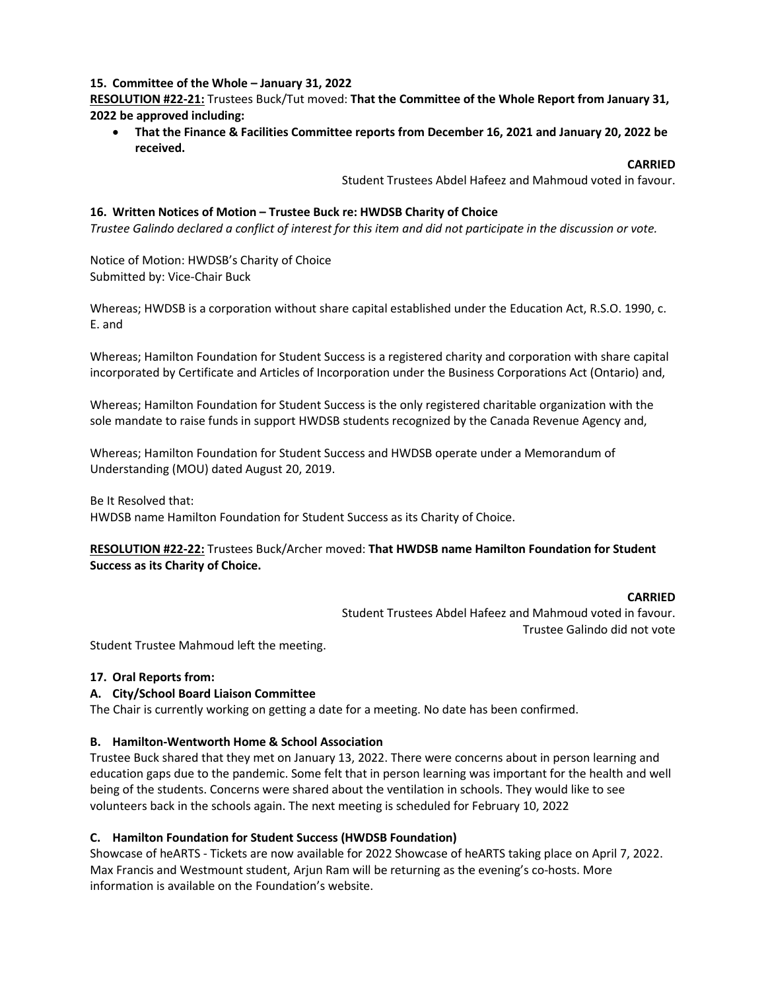### **15. Committee of the Whole – January 31, 2022**

**RESOLUTION #22-21:** Trustees Buck/Tut moved: **That the Committee of the Whole Report from January 31, 2022 be approved including:** 

• **That the Finance & Facilities Committee reports from December 16, 2021 and January 20, 2022 be received.**

#### **CARRIED**

Student Trustees Abdel Hafeez and Mahmoud voted in favour.

#### **16. Written Notices of Motion – Trustee Buck re: HWDSB Charity of Choice**

*Trustee Galindo declared a conflict of interest for this item and did not participate in the discussion or vote.*

Notice of Motion: HWDSB's Charity of Choice Submitted by: Vice-Chair Buck

Whereas; HWDSB is a corporation without share capital established under the Education Act, R.S.O. 1990, c. E. and

Whereas; Hamilton Foundation for Student Success is a registered charity and corporation with share capital incorporated by Certificate and Articles of Incorporation under the Business Corporations Act (Ontario) and,

Whereas; Hamilton Foundation for Student Success is the only registered charitable organization with the sole mandate to raise funds in support HWDSB students recognized by the Canada Revenue Agency and,

Whereas; Hamilton Foundation for Student Success and HWDSB operate under a Memorandum of Understanding (MOU) dated August 20, 2019.

Be It Resolved that: HWDSB name Hamilton Foundation for Student Success as its Charity of Choice.

# **RESOLUTION #22-22:** Trustees Buck/Archer moved: **That HWDSB name Hamilton Foundation for Student Success as its Charity of Choice.**

#### **CARRIED**

Student Trustees Abdel Hafeez and Mahmoud voted in favour. Trustee Galindo did not vote

Student Trustee Mahmoud left the meeting.

#### **17. Oral Reports from:**

#### **A. City/School Board Liaison Committee**

The Chair is currently working on getting a date for a meeting. No date has been confirmed.

#### **B. Hamilton-Wentworth Home & School Association**

Trustee Buck shared that they met on January 13, 2022. There were concerns about in person learning and education gaps due to the pandemic. Some felt that in person learning was important for the health and well being of the students. Concerns were shared about the ventilation in schools. They would like to see volunteers back in the schools again. The next meeting is scheduled for February 10, 2022

#### **C. Hamilton Foundation for Student Success (HWDSB Foundation)**

Showcase of heARTS - Tickets are now available for 2022 Showcase of heARTS taking place on April 7, 2022. Max Francis and Westmount student, Arjun Ram will be returning as the evening's co-hosts. More information is available on the Foundation's website.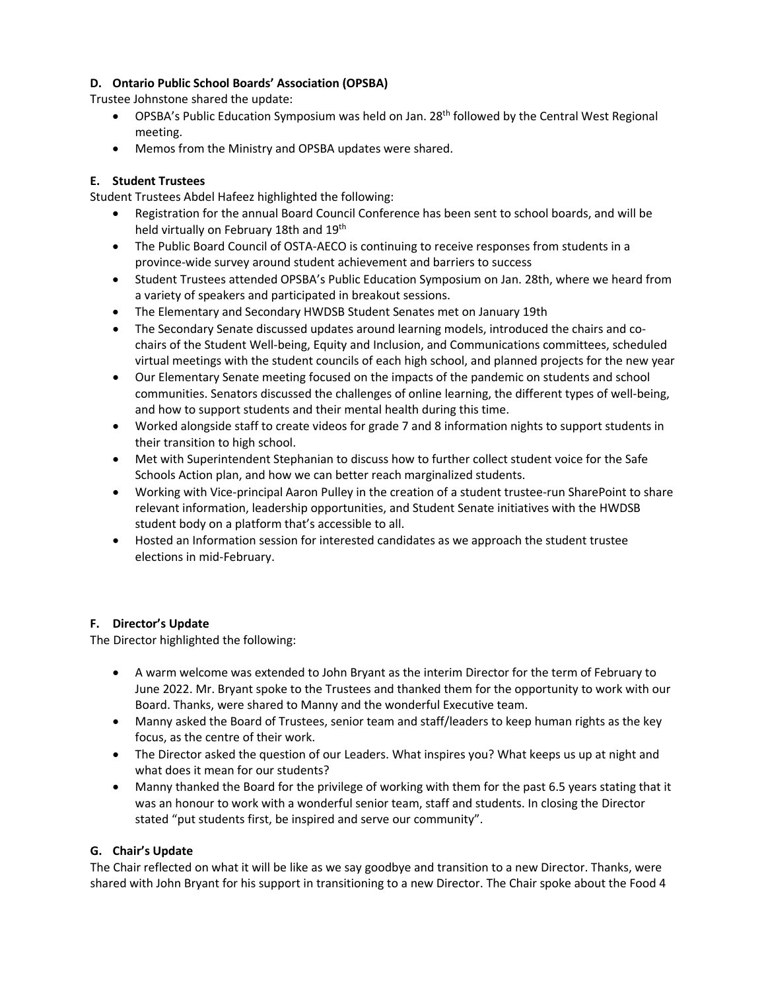# **D. Ontario Public School Boards' Association (OPSBA)**

Trustee Johnstone shared the update:

- OPSBA's Public Education Symposium was held on Jan. 28<sup>th</sup> followed by the Central West Regional meeting.
- Memos from the Ministry and OPSBA updates were shared.

# **E. Student Trustees**

Student Trustees Abdel Hafeez highlighted the following:

- Registration for the annual Board Council Conference has been sent to school boards, and will be held virtually on February 18th and 19th
- The Public Board Council of OSTA-AECO is continuing to receive responses from students in a province-wide survey around student achievement and barriers to success
- Student Trustees attended OPSBA's Public Education Symposium on Jan. 28th, where we heard from a variety of speakers and participated in breakout sessions.
- The Elementary and Secondary HWDSB Student Senates met on January 19th
- The Secondary Senate discussed updates around learning models, introduced the chairs and cochairs of the Student Well-being, Equity and Inclusion, and Communications committees, scheduled virtual meetings with the student councils of each high school, and planned projects for the new year
- Our Elementary Senate meeting focused on the impacts of the pandemic on students and school communities. Senators discussed the challenges of online learning, the different types of well-being, and how to support students and their mental health during this time.
- Worked alongside staff to create videos for grade 7 and 8 information nights to support students in their transition to high school.
- Met with Superintendent Stephanian to discuss how to further collect student voice for the Safe Schools Action plan, and how we can better reach marginalized students.
- Working with Vice-principal Aaron Pulley in the creation of a student trustee-run SharePoint to share relevant information, leadership opportunities, and Student Senate initiatives with the HWDSB student body on a platform that's accessible to all.
- Hosted an Information session for interested candidates as we approach the student trustee elections in mid-February.

# **F. Director's Update**

The Director highlighted the following:

- A warm welcome was extended to John Bryant as the interim Director for the term of February to June 2022. Mr. Bryant spoke to the Trustees and thanked them for the opportunity to work with our Board. Thanks, were shared to Manny and the wonderful Executive team.
- Manny asked the Board of Trustees, senior team and staff/leaders to keep human rights as the key focus, as the centre of their work.
- The Director asked the question of our Leaders. What inspires you? What keeps us up at night and what does it mean for our students?
- Manny thanked the Board for the privilege of working with them for the past 6.5 years stating that it was an honour to work with a wonderful senior team, staff and students. In closing the Director stated "put students first, be inspired and serve our community".

# **G. Chair's Update**

The Chair reflected on what it will be like as we say goodbye and transition to a new Director. Thanks, were shared with John Bryant for his support in transitioning to a new Director. The Chair spoke about the Food 4